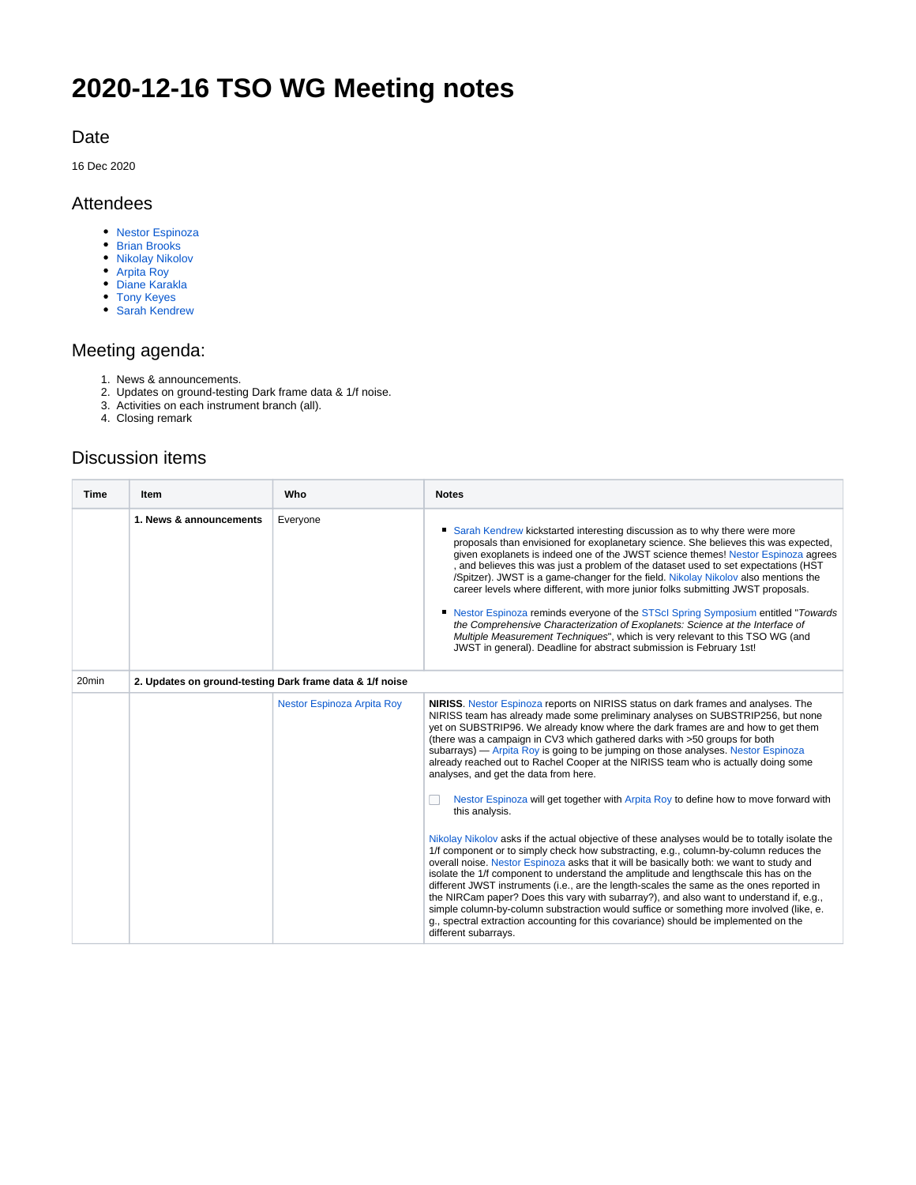# **2020-12-16 TSO WG Meeting notes**

#### Date

16 Dec 2020

#### Attendees

- [Nestor Espinoza](https://outerspace.stsci.edu/display/~nespinoza)
- [Brian Brooks](https://outerspace.stsci.edu/display/~bbrooks)
- [Nikolay Nikolov](https://outerspace.stsci.edu/display/~nnikolov)
- [Arpita Roy](https://outerspace.stsci.edu/display/~aroy)
- [Diane Karakla](https://outerspace.stsci.edu/display/~dkarakla)
- [Tony Keyes](https://outerspace.stsci.edu/display/~keyes) [Sarah Kendrew](https://outerspace.stsci.edu/display/~skendrew)

## Meeting agenda:

- 1. News & announcements.
- 2. Updates on ground-testing Dark frame data & 1/f noise.
- 3. Activities on each instrument branch (all).
- 4. Closing remark

### Discussion items

| Time              | Item                                                     | Who                               | <b>Notes</b>                                                                                                                                                                                                                                                                                                                                                                                                                                                                                                                                                                                                                                                                                                                                                                                                                                                                                                                                                                                                                                                                                                                                                                                                                                                                                                                                                                                                                                           |  |
|-------------------|----------------------------------------------------------|-----------------------------------|--------------------------------------------------------------------------------------------------------------------------------------------------------------------------------------------------------------------------------------------------------------------------------------------------------------------------------------------------------------------------------------------------------------------------------------------------------------------------------------------------------------------------------------------------------------------------------------------------------------------------------------------------------------------------------------------------------------------------------------------------------------------------------------------------------------------------------------------------------------------------------------------------------------------------------------------------------------------------------------------------------------------------------------------------------------------------------------------------------------------------------------------------------------------------------------------------------------------------------------------------------------------------------------------------------------------------------------------------------------------------------------------------------------------------------------------------------|--|
|                   | 1. News & announcements                                  | Everyone                          | Sarah Kendrew kickstarted interesting discussion as to why there were more<br>proposals than envisioned for exoplanetary science. She believes this was expected,<br>given exoplanets is indeed one of the JWST science themes! Nestor Espinoza agrees<br>, and believes this was just a problem of the dataset used to set expectations (HST<br>/Spitzer). JWST is a game-changer for the field. Nikolay Nikolov also mentions the<br>career levels where different, with more junior folks submitting JWST proposals.<br>• Nestor Espinoza reminds everyone of the STScl Spring Symposium entitled "Towards"<br>the Comprehensive Characterization of Exoplanets: Science at the Interface of<br>Multiple Measurement Techniques", which is very relevant to this TSO WG (and<br>JWST in general). Deadline for abstract submission is February 1st!                                                                                                                                                                                                                                                                                                                                                                                                                                                                                                                                                                                                 |  |
| 20 <sub>min</sub> | 2. Updates on ground-testing Dark frame data & 1/f noise |                                   |                                                                                                                                                                                                                                                                                                                                                                                                                                                                                                                                                                                                                                                                                                                                                                                                                                                                                                                                                                                                                                                                                                                                                                                                                                                                                                                                                                                                                                                        |  |
|                   |                                                          | <b>Nestor Espinoza Arpita Roy</b> | NIRISS. Nestor Espinoza reports on NIRISS status on dark frames and analyses. The<br>NIRISS team has already made some preliminary analyses on SUBSTRIP256, but none<br>yet on SUBSTRIP96. We already know where the dark frames are and how to get them<br>(there was a campaign in CV3 which gathered darks with >50 groups for both<br>subarrays) — Arpita Roy is going to be jumping on those analyses. Nestor Espinoza<br>already reached out to Rachel Cooper at the NIRISS team who is actually doing some<br>analyses, and get the data from here.<br>Nestor Espinoza will get together with Arpita Roy to define how to move forward with<br>this analysis.<br>Nikolay Nikolov asks if the actual objective of these analyses would be to totally isolate the<br>1/f component or to simply check how substracting, e.g., column-by-column reduces the<br>overall noise. Nestor Espinoza asks that it will be basically both: we want to study and<br>isolate the 1/f component to understand the amplitude and lengthscale this has on the<br>different JWST instruments (i.e., are the length-scales the same as the ones reported in<br>the NIRCam paper? Does this vary with subarray?), and also want to understand if, e.g.,<br>simple column-by-column substraction would suffice or something more involved (like, e.<br>g., spectral extraction accounting for this covariance) should be implemented on the<br>different subarrays. |  |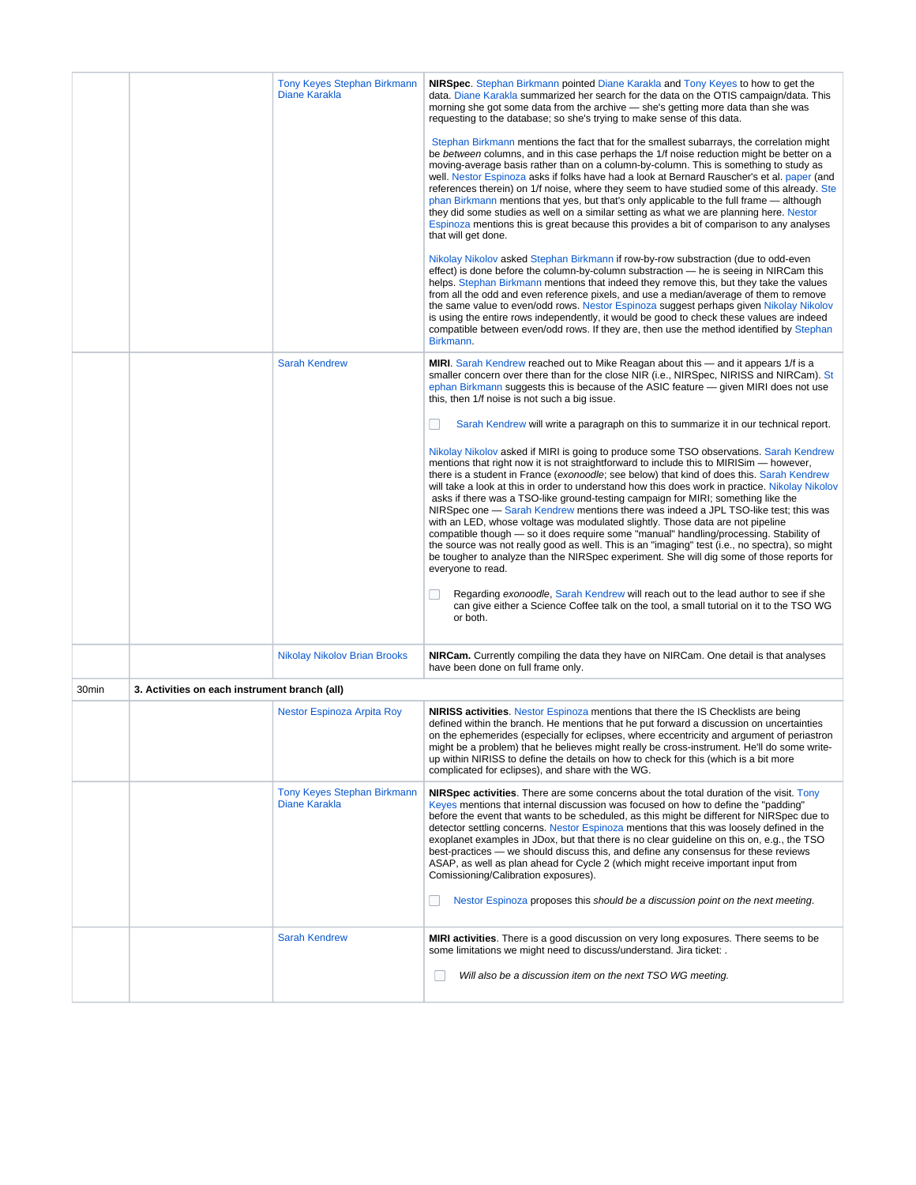|       |                                               | <b>Tony Keyes Stephan Birkmann</b><br>Diane Karakla | <b>NIRSpec.</b> Stephan Birkmann pointed Diane Karakla and Tony Keyes to how to get the<br>data. Diane Karakla summarized her search for the data on the OTIS campaign/data. This<br>morning she got some data from the archive - she's getting more data than she was<br>requesting to the database; so she's trying to make sense of this data.                                                                                                                                                                                                                                                                                                                                                                                                                                                                                                                                                                                                             |  |
|-------|-----------------------------------------------|-----------------------------------------------------|---------------------------------------------------------------------------------------------------------------------------------------------------------------------------------------------------------------------------------------------------------------------------------------------------------------------------------------------------------------------------------------------------------------------------------------------------------------------------------------------------------------------------------------------------------------------------------------------------------------------------------------------------------------------------------------------------------------------------------------------------------------------------------------------------------------------------------------------------------------------------------------------------------------------------------------------------------------|--|
|       |                                               |                                                     | Stephan Birkmann mentions the fact that for the smallest subarrays, the correlation might<br>be between columns, and in this case perhaps the 1/f noise reduction might be better on a<br>moving-average basis rather than on a column-by-column. This is something to study as<br>well. Nestor Espinoza asks if folks have had a look at Bernard Rauscher's et al. paper (and<br>references therein) on 1/f noise, where they seem to have studied some of this already. Ste<br>phan Birkmann mentions that yes, but that's only applicable to the full frame — although<br>they did some studies as well on a similar setting as what we are planning here. Nestor<br>Espinoza mentions this is great because this provides a bit of comparison to any analyses<br>that will get done.                                                                                                                                                                      |  |
|       |                                               |                                                     | Nikolay Nikolov asked Stephan Birkmann if row-by-row substraction (due to odd-even<br>effect) is done before the column-by-column substraction — he is seeing in NIRCam this<br>helps. Stephan Birkmann mentions that indeed they remove this, but they take the values<br>from all the odd and even reference pixels, and use a median/average of them to remove<br>the same value to even/odd rows. Nestor Espinoza suggest perhaps given Nikolay Nikolov<br>is using the entire rows independently, it would be good to check these values are indeed<br>compatible between even/odd rows. If they are, then use the method identified by Stephan<br>Birkmann.                                                                                                                                                                                                                                                                                             |  |
|       |                                               | <b>Sarah Kendrew</b>                                | <b>MIRI.</b> Sarah Kendrew reached out to Mike Reagan about this — and it appears 1/f is a<br>smaller concern over there than for the close NIR (i.e., NIRSpec, NIRISS and NIRCam). St<br>ephan Birkmann suggests this is because of the ASIC feature - given MIRI does not use<br>this, then 1/f noise is not such a big issue.                                                                                                                                                                                                                                                                                                                                                                                                                                                                                                                                                                                                                              |  |
|       |                                               |                                                     | Sarah Kendrew will write a paragraph on this to summarize it in our technical report.                                                                                                                                                                                                                                                                                                                                                                                                                                                                                                                                                                                                                                                                                                                                                                                                                                                                         |  |
|       |                                               |                                                     | Nikolay Nikolov asked if MIRI is going to produce some TSO observations. Sarah Kendrew<br>mentions that right now it is not straightforward to include this to MIRISim — however,<br>there is a student in France (exonoodle; see below) that kind of does this. Sarah Kendrew<br>will take a look at this in order to understand how this does work in practice. Nikolay Nikolov<br>asks if there was a TSO-like ground-testing campaign for MIRI; something like the<br>NIRSpec one — Sarah Kendrew mentions there was indeed a JPL TSO-like test; this was<br>with an LED, whose voltage was modulated slightly. Those data are not pipeline<br>compatible though - so it does require some "manual" handling/processing. Stability of<br>the source was not really good as well. This is an "imaging" test (i.e., no spectra), so might<br>be tougher to analyze than the NIRSpec experiment. She will dig some of those reports for<br>everyone to read. |  |
|       |                                               |                                                     | Regarding exonoodle, Sarah Kendrew will reach out to the lead author to see if she<br>can give either a Science Coffee talk on the tool, a small tutorial on it to the TSO WG<br>or both.                                                                                                                                                                                                                                                                                                                                                                                                                                                                                                                                                                                                                                                                                                                                                                     |  |
|       |                                               | Nikolay Nikolov Brian Brooks                        | <b>NIRCam.</b> Currently compiling the data they have on NIRCam. One detail is that analyses<br>have been done on full frame only.                                                                                                                                                                                                                                                                                                                                                                                                                                                                                                                                                                                                                                                                                                                                                                                                                            |  |
| 30min | 3. Activities on each instrument branch (all) |                                                     |                                                                                                                                                                                                                                                                                                                                                                                                                                                                                                                                                                                                                                                                                                                                                                                                                                                                                                                                                               |  |
|       |                                               | Nestor Espinoza Arpita Roy                          | <b>NIRISS activities.</b> Nestor Espinoza mentions that there the IS Checklists are being<br>defined within the branch. He mentions that he put forward a discussion on uncertainties<br>on the ephemerides (especially for eclipses, where eccentricity and argument of periastron<br>might be a problem) that he believes might really be cross-instrument. He'll do some write-<br>up within NIRISS to define the details on how to check for this (which is a bit more<br>complicated for eclipses), and share with the WG.                                                                                                                                                                                                                                                                                                                                                                                                                               |  |
|       |                                               | <b>Tony Keyes Stephan Birkmann</b><br>Diane Karakla | <b>NIRSpec activities</b> . There are some concerns about the total duration of the visit. Tony<br>Keyes mentions that internal discussion was focused on how to define the "padding"<br>before the event that wants to be scheduled, as this might be different for NIRSpec due to<br>detector settling concerns. Nestor Espinoza mentions that this was loosely defined in the<br>exoplanet examples in JDox, but that there is no clear guideline on this on, e.g., the TSO<br>best-practices — we should discuss this, and define any consensus for these reviews<br>ASAP, as well as plan ahead for Cycle 2 (which might receive important input from<br>Comissioning/Calibration exposures).<br>Nestor Espinoza proposes this should be a discussion point on the next meeting.                                                                                                                                                                         |  |
|       |                                               | <b>Sarah Kendrew</b>                                | <b>MIRI activities</b> . There is a good discussion on very long exposures. There seems to be<br>some limitations we might need to discuss/understand. Jira ticket: .                                                                                                                                                                                                                                                                                                                                                                                                                                                                                                                                                                                                                                                                                                                                                                                         |  |
|       |                                               |                                                     | Will also be a discussion item on the next TSO WG meeting.                                                                                                                                                                                                                                                                                                                                                                                                                                                                                                                                                                                                                                                                                                                                                                                                                                                                                                    |  |